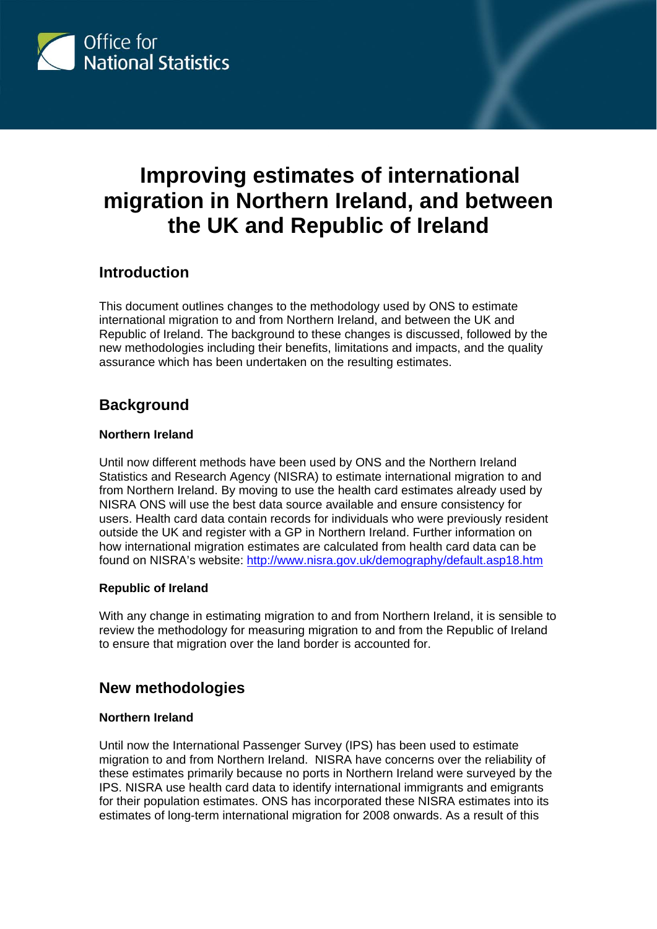

# **Improving estimates of international migration in Northern Ireland, and between the UK and Republic of Ireland**

 $\overline{a}$ 

### **Introduction**

This document outlines changes to the methodology used by ONS to estimate international migration to and from Northern Ireland, and between the UK and Republic of Ireland. The background to these changes is discussed, followed by the new methodologies including their benefits, limitations and impacts, and the quality assurance which has been undertaken on the resulting estimates.

# **Background**

#### **Northern Ireland**

Until now different methods have been used by ONS and the Northern Ireland Statistics and Research Agency (NISRA) to estimate international migration to and from Northern Ireland. By moving to use the health card estimates already used by NISRA ONS will use the best data source available and ensure consistency for users. Health card data contain records for individuals who were previously resident outside the UK and register with a GP in Northern Ireland. Further information on how international migration estimates are calculated from health card data can be found on NISRA's website: <http://www.nisra.gov.uk/demography/default.asp18.htm>

#### **Republic of Ireland**

With any change in estimating migration to and from Northern Ireland, it is sensible to review the methodology for measuring migration to and from the Republic of Ireland to ensure that migration over the land border is accounted for.

# **New methodologies**

#### **Northern Ireland**

Until now the International Passenger Survey (IPS) has been used to estimate migration to and from Northern Ireland. NISRA have concerns over the reliability of these estimates primarily because no ports in Northern Ireland were surveyed by the IPS. NISRA use health card data to identify international immigrants and emigrants for their population estimates. ONS has incorporated these NISRA estimates into its estimates of long-term international migration for 2008 onwards. As a result of this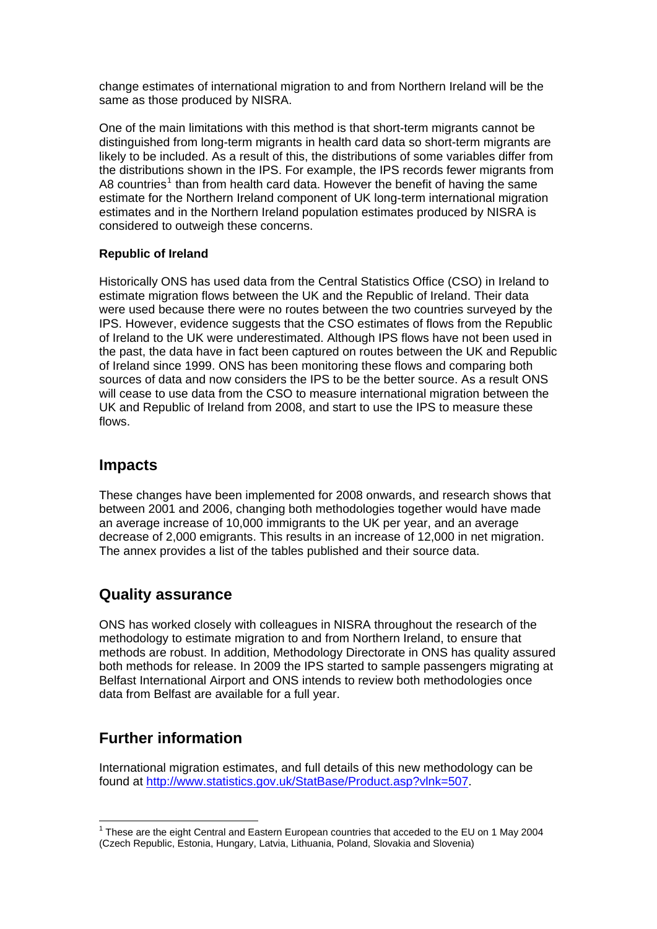change estimates of international migration to and from Northern Ireland will be the same as those produced by NISRA.

One of the main limitations with this method is that short-term migrants cannot be distinguished from long-term migrants in health card data so short-term migrants are likely to be included. As a result of this, the distributions of some variables differ from the distributions shown in the IPS. For example, the IPS records fewer migrants from A8 countries<sup>[1](#page-1-0)</sup> than from health card data. However the benefit of having the same estimate for the Northern Ireland component of UK long-term international migration estimates and in the Northern Ireland population estimates produced by NISRA is considered to outweigh these concerns.

#### **Republic of Ireland**

Historically ONS has used data from the Central Statistics Office (CSO) in Ireland to estimate migration flows between the UK and the Republic of Ireland. Their data were used because there were no routes between the two countries surveyed by the IPS. However, evidence suggests that the CSO estimates of flows from the Republic of Ireland to the UK were underestimated. Although IPS flows have not been used in the past, the data have in fact been captured on routes between the UK and Republic of Ireland since 1999. ONS has been monitoring these flows and comparing both sources of data and now considers the IPS to be the better source. As a result ONS will cease to use data from the CSO to measure international migration between the UK and Republic of Ireland from 2008, and start to use the IPS to measure these flows.

### **Impacts**

These changes have been implemented for 2008 onwards, and research shows that between 2001 and 2006, changing both methodologies together would have made an average increase of 10,000 immigrants to the UK per year, and an average decrease of 2,000 emigrants. This results in an increase of 12,000 in net migration. The annex provides a list of the tables published and their source data.

# **Quality assurance**

ONS has worked closely with colleagues in NISRA throughout the research of the methodology to estimate migration to and from Northern Ireland, to ensure that methods are robust. In addition, Methodology Directorate in ONS has quality assured both methods for release. In 2009 the IPS started to sample passengers migrating at Belfast International Airport and ONS intends to review both methodologies once data from Belfast are available for a full year.

# **Further information**

International migration estimates, and full details of this new methodology can be found at [http://www.statistics.gov.uk/StatBase/Product.asp?vlnk=507.](http://www.statistics.gov.uk/StatBase/Product.asp?vlnk=507)

<span id="page-1-0"></span>  $1$  These are the eight Central and Eastern European countries that acceded to the EU on 1 May 2004 (Czech Republic, Estonia, Hungary, Latvia, Lithuania, Poland, Slovakia and Slovenia)